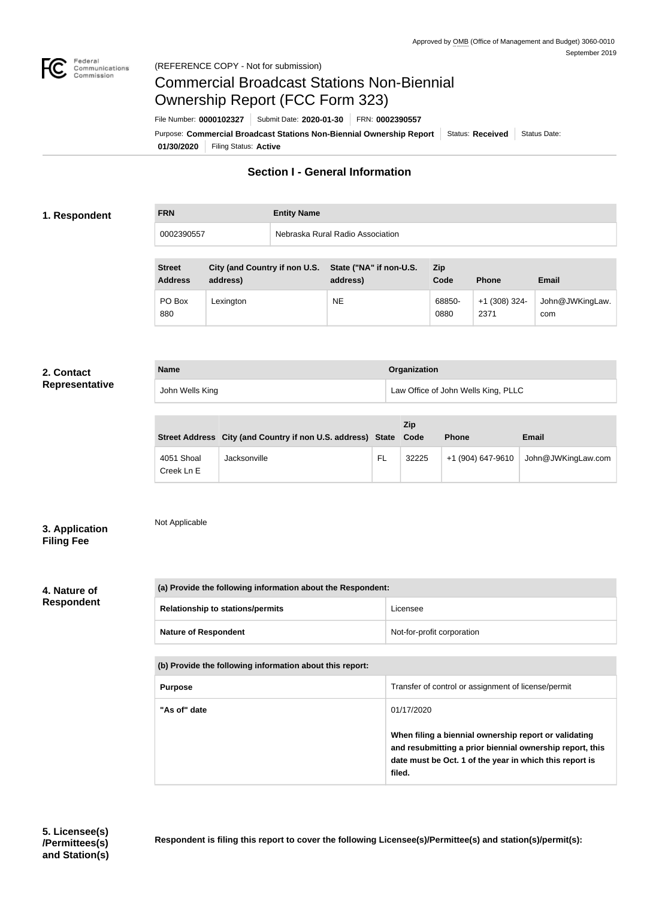

# Commercial Broadcast Stations Non-Biennial Ownership Report (FCC Form 323)

**01/30/2020** Filing Status: **Active** Purpose: Commercial Broadcast Stations Non-Biennial Ownership Report Status: Received Status Date: File Number: **0000102327** Submit Date: **2020-01-30** FRN: **0002390557**

# **Section I - General Information**

# **1. Respondent**

| <b>FRN</b> | <b>Entity Name</b>               |
|------------|----------------------------------|
| 0002390557 | Nebraska Rural Radio Association |

| <b>Street</b><br><b>Address</b> | City (and Country if non U.S.<br>address) | State ("NA" if non-U.S.<br>address) | <b>Zip</b><br>Code | <b>Phone</b>            | <b>Email</b>           |
|---------------------------------|-------------------------------------------|-------------------------------------|--------------------|-------------------------|------------------------|
| PO Box<br>880                   | Lexington                                 | <b>NE</b>                           | 68850-<br>0880     | $+1$ (308) 324-<br>2371 | John@JWKingLaw.<br>com |

### **2. Contact Representative**

| <b>Name</b>     | Organization                        |  |  |
|-----------------|-------------------------------------|--|--|
| John Wells King | Law Office of John Wells King, PLLC |  |  |

|                          | Street Address City (and Country if non U.S. address) State Code |    | Zip   | <b>Phone</b>      | <b>Email</b>       |
|--------------------------|------------------------------------------------------------------|----|-------|-------------------|--------------------|
| 4051 Shoal<br>Creek Ln E | Jacksonville                                                     | FL | 32225 | +1 (904) 647-9610 | John@JWKingLaw.com |

# **3. Application Filing Fee**

Not Applicable

**4. Nature of Respondent**

| (a) Provide the following information about the Respondent: |                            |  |  |
|-------------------------------------------------------------|----------------------------|--|--|
| <b>Relationship to stations/permits</b>                     | Licensee                   |  |  |
| <b>Nature of Respondent</b>                                 | Not-for-profit corporation |  |  |
| (b) Provide the following information about this report:    |                            |  |  |

**Purpose** Transfer of control or assignment of license/permit **"As of" date** 01/17/2020 **When filing a biennial ownership report or validating and resubmitting a prior biennial ownership report, this date must be Oct. 1 of the year in which this report is filed.**

**Respondent is filing this report to cover the following Licensee(s)/Permittee(s) and station(s)/permit(s):**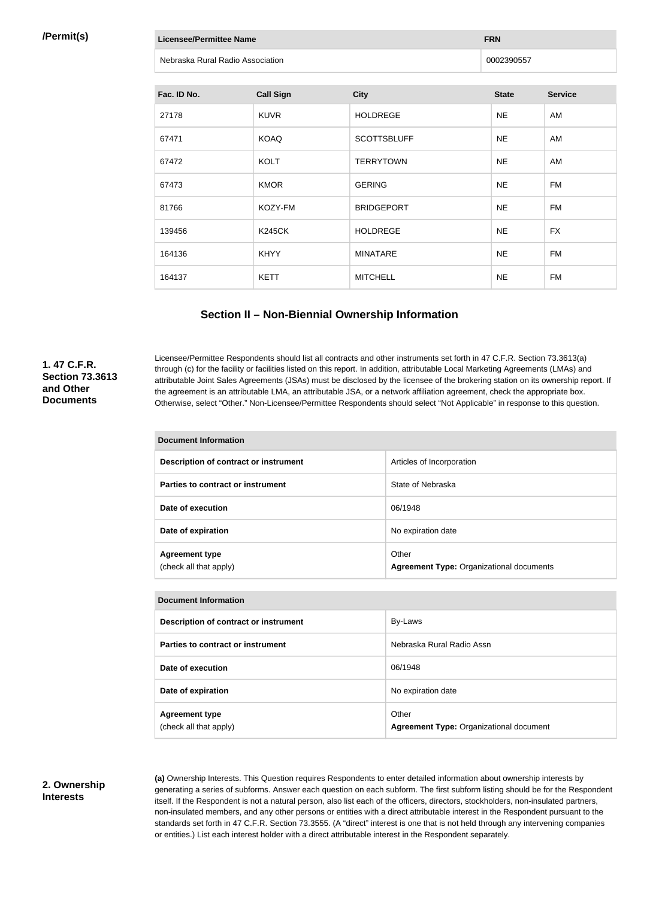### **/Permit(s)**

| <b>Licensee/Permittee Name</b> |                                  |                    | <b>FRN</b>   |                |  |
|--------------------------------|----------------------------------|--------------------|--------------|----------------|--|
|                                | Nebraska Rural Radio Association |                    |              | 0002390557     |  |
|                                |                                  |                    |              |                |  |
| Fac. ID No.                    | <b>Call Sign</b>                 | <b>City</b>        | <b>State</b> | <b>Service</b> |  |
| 27178                          | <b>KUVR</b>                      | <b>HOLDREGE</b>    | <b>NE</b>    | AM             |  |
| 67471                          | <b>KOAQ</b>                      | <b>SCOTTSBLUFF</b> | <b>NE</b>    | AM             |  |
| 67472                          | <b>KOLT</b>                      | <b>TERRYTOWN</b>   | <b>NE</b>    | AM             |  |
| 67473                          | <b>KMOR</b>                      | <b>GERING</b>      | <b>NE</b>    | <b>FM</b>      |  |
| 81766                          | KOZY-FM                          | <b>BRIDGEPORT</b>  | <b>NE</b>    | <b>FM</b>      |  |
| 139456                         | <b>K245CK</b>                    | <b>HOLDREGE</b>    | <b>NE</b>    | <b>FX</b>      |  |
| 164136                         | <b>KHYY</b>                      | <b>MINATARE</b>    | <b>NE</b>    | <b>FM</b>      |  |
| 164137                         | <b>KETT</b>                      | <b>MITCHELL</b>    | <b>NE</b>    | <b>FM</b>      |  |

# **Section II – Non-Biennial Ownership Information**

# **1. 47 C.F.R. Section 73.3613 and Other Documents**

Licensee/Permittee Respondents should list all contracts and other instruments set forth in 47 C.F.R. Section 73.3613(a) through (c) for the facility or facilities listed on this report. In addition, attributable Local Marketing Agreements (LMAs) and attributable Joint Sales Agreements (JSAs) must be disclosed by the licensee of the brokering station on its ownership report. If the agreement is an attributable LMA, an attributable JSA, or a network affiliation agreement, check the appropriate box. Otherwise, select "Other." Non-Licensee/Permittee Respondents should select "Not Applicable" in response to this question.

| Document Information                            |                                                          |  |
|-------------------------------------------------|----------------------------------------------------------|--|
| Description of contract or instrument           | Articles of Incorporation                                |  |
| Parties to contract or instrument               | State of Nebraska                                        |  |
| Date of execution                               | 06/1948                                                  |  |
| Date of expiration                              | No expiration date                                       |  |
| <b>Agreement type</b><br>(check all that apply) | Other<br><b>Agreement Type: Organizational documents</b> |  |

#### **Document Information**

| Description of contract or instrument           | By-Laws                                                 |
|-------------------------------------------------|---------------------------------------------------------|
| Parties to contract or instrument               | Nebraska Rural Radio Assn                               |
| Date of execution                               | 06/1948                                                 |
| Date of expiration                              | No expiration date                                      |
| <b>Agreement type</b><br>(check all that apply) | Other<br><b>Agreement Type: Organizational document</b> |

### **2. Ownership Interests**

**(a)** Ownership Interests. This Question requires Respondents to enter detailed information about ownership interests by generating a series of subforms. Answer each question on each subform. The first subform listing should be for the Respondent itself. If the Respondent is not a natural person, also list each of the officers, directors, stockholders, non-insulated partners, non-insulated members, and any other persons or entities with a direct attributable interest in the Respondent pursuant to the standards set forth in 47 C.F.R. Section 73.3555. (A "direct" interest is one that is not held through any intervening companies or entities.) List each interest holder with a direct attributable interest in the Respondent separately.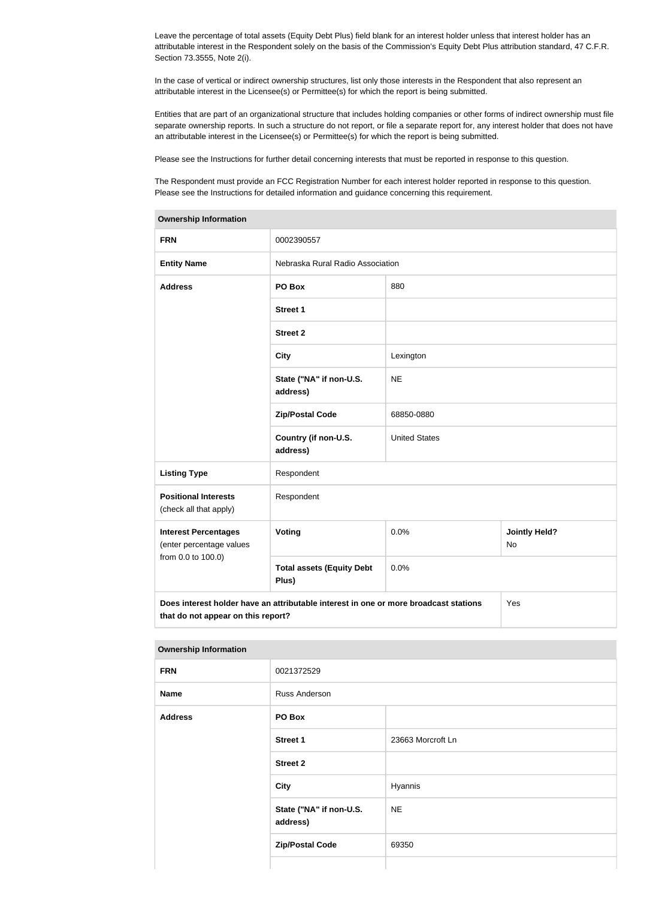Leave the percentage of total assets (Equity Debt Plus) field blank for an interest holder unless that interest holder has an attributable interest in the Respondent solely on the basis of the Commission's Equity Debt Plus attribution standard, 47 C.F.R. Section 73.3555, Note 2(i).

In the case of vertical or indirect ownership structures, list only those interests in the Respondent that also represent an attributable interest in the Licensee(s) or Permittee(s) for which the report is being submitted.

Entities that are part of an organizational structure that includes holding companies or other forms of indirect ownership must file separate ownership reports. In such a structure do not report, or file a separate report for, any interest holder that does not have an attributable interest in the Licensee(s) or Permittee(s) for which the report is being submitted.

Please see the Instructions for further detail concerning interests that must be reported in response to this question.

The Respondent must provide an FCC Registration Number for each interest holder reported in response to this question. Please see the Instructions for detailed information and guidance concerning this requirement.

| Ownership information                                                                                                             |                                           |                      |                            |  |
|-----------------------------------------------------------------------------------------------------------------------------------|-------------------------------------------|----------------------|----------------------------|--|
| <b>FRN</b>                                                                                                                        | 0002390557                                |                      |                            |  |
| <b>Entity Name</b>                                                                                                                | Nebraska Rural Radio Association          |                      |                            |  |
| <b>Address</b>                                                                                                                    | PO Box                                    | 880                  |                            |  |
|                                                                                                                                   | <b>Street 1</b>                           |                      |                            |  |
|                                                                                                                                   | <b>Street 2</b>                           |                      |                            |  |
|                                                                                                                                   | <b>City</b>                               | Lexington            |                            |  |
|                                                                                                                                   | State ("NA" if non-U.S.<br>address)       | <b>NE</b>            |                            |  |
|                                                                                                                                   | <b>Zip/Postal Code</b>                    | 68850-0880           |                            |  |
|                                                                                                                                   | Country (if non-U.S.<br>address)          | <b>United States</b> |                            |  |
| <b>Listing Type</b>                                                                                                               | Respondent                                |                      |                            |  |
| <b>Positional Interests</b><br>(check all that apply)                                                                             | Respondent                                |                      |                            |  |
| <b>Interest Percentages</b><br>(enter percentage values                                                                           | Voting                                    | 0.0%                 | <b>Jointly Held?</b><br>No |  |
| from 0.0 to 100.0)                                                                                                                | <b>Total assets (Equity Debt</b><br>Plus) | 0.0%                 |                            |  |
| Does interest holder have an attributable interest in one or more broadcast stations<br>Yes<br>that do not appear on this report? |                                           |                      |                            |  |

**Ownership Information**

#### **Ownership Information**

| ___            |                                     |                   |  |
|----------------|-------------------------------------|-------------------|--|
| <b>FRN</b>     | 0021372529                          |                   |  |
| Name           | Russ Anderson                       |                   |  |
| <b>Address</b> | PO Box                              |                   |  |
|                | <b>Street 1</b>                     | 23663 Morcroft Ln |  |
|                | <b>Street 2</b>                     |                   |  |
|                | <b>City</b>                         | Hyannis           |  |
|                | State ("NA" if non-U.S.<br>address) | <b>NE</b>         |  |
|                | <b>Zip/Postal Code</b>              | 69350             |  |
|                |                                     |                   |  |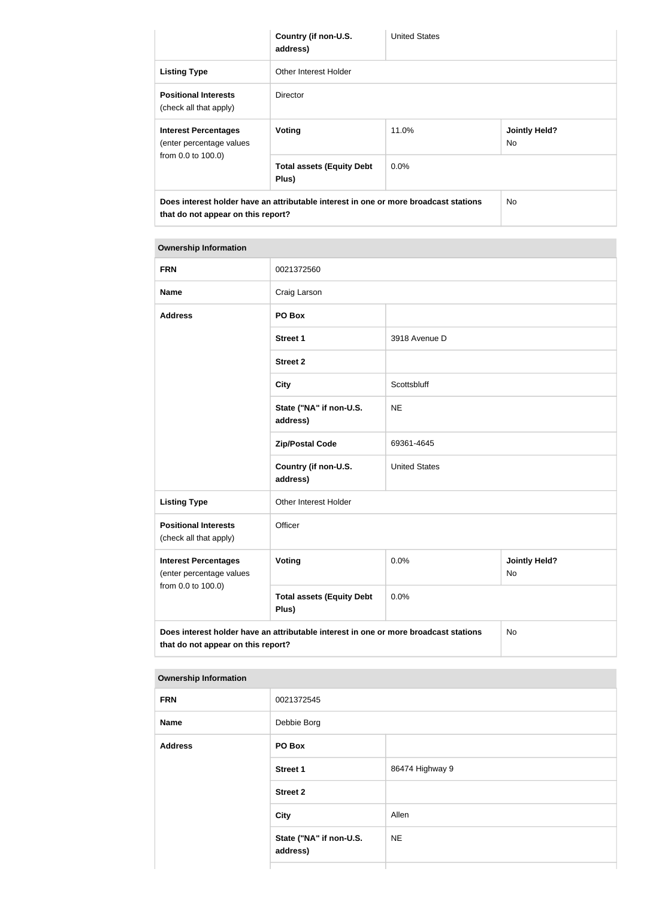|                                                                                                                                              | Country (if non-U.S.<br>address)          | <b>United States</b> |                             |
|----------------------------------------------------------------------------------------------------------------------------------------------|-------------------------------------------|----------------------|-----------------------------|
| <b>Listing Type</b>                                                                                                                          | Other Interest Holder                     |                      |                             |
| <b>Positional Interests</b><br>(check all that apply)                                                                                        | <b>Director</b>                           |                      |                             |
| <b>Interest Percentages</b><br>(enter percentage values                                                                                      | Voting                                    | 11.0%                | <b>Jointly Held?</b><br>No. |
| from 0.0 to 100.0)                                                                                                                           | <b>Total assets (Equity Debt</b><br>Plus) | $0.0\%$              |                             |
| Does interest holder have an attributable interest in one or more broadcast stations<br>N <sub>o</sub><br>that do not appear on this report? |                                           |                      |                             |

# **Ownership Information FRN** 0021372560 **Name** Craig Larson **Address PO Box Street 1** 3918 Avenue D **Street 2 City** Scottsbluff **State ("NA" if non-U.S. address)** NE **Zip/Postal Code** 69361-4645 **Country (if non-U.S. address)** United States Listing Type **Communist Communist Communist Communist Communist Communist Communist Communist Communist Communist Communist Communist Communist Communist Communist Communist Communist Communist Communist Communist Communis Positional Interests** (check all that apply) **Officer Interest Percentages** (enter percentage values from 0.0 to 100.0) **Voting Voting Definitive of**  $\begin{array}{c} 0.0\% \\ 0.0\% \end{array}$  **<b>Jointly Held?** No **Total assets (Equity Debt Plus)** 0.0%

**Does interest holder have an attributable interest in one or more broadcast stations that do not appear on this report?** No

#### **Ownership Information**

| <b>FRN</b>     | 0021372545                          |                 |  |
|----------------|-------------------------------------|-----------------|--|
| <b>Name</b>    | Debbie Borg                         |                 |  |
| <b>Address</b> | PO Box                              |                 |  |
|                | <b>Street 1</b>                     | 86474 Highway 9 |  |
|                | <b>Street 2</b>                     |                 |  |
|                | City                                | Allen           |  |
|                | State ("NA" if non-U.S.<br>address) | <b>NE</b>       |  |
|                |                                     |                 |  |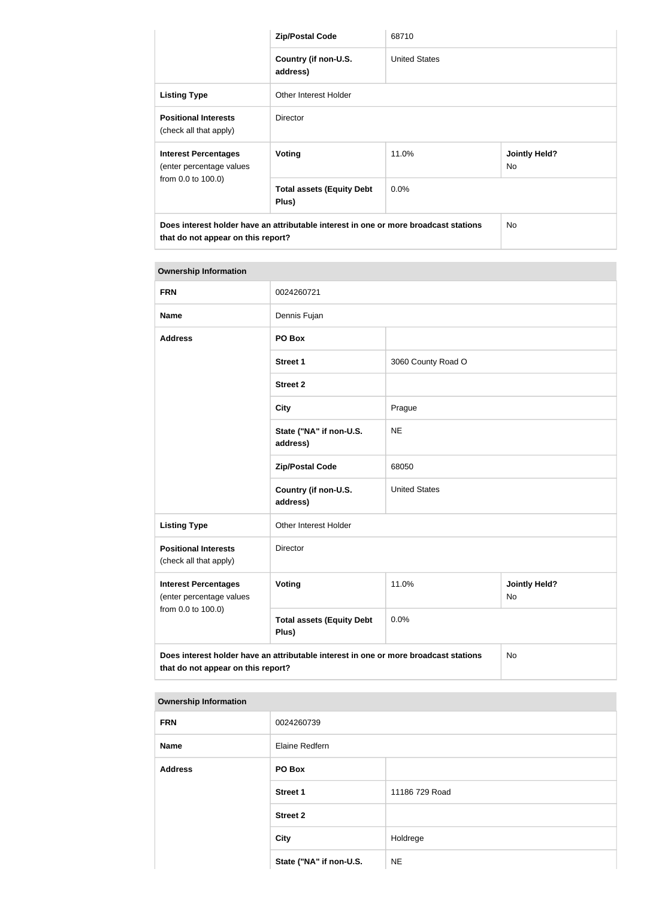|                                                                                                                            | <b>Zip/Postal Code</b>                    | 68710                |                            |
|----------------------------------------------------------------------------------------------------------------------------|-------------------------------------------|----------------------|----------------------------|
|                                                                                                                            | Country (if non-U.S.<br>address)          | <b>United States</b> |                            |
| <b>Listing Type</b>                                                                                                        | Other Interest Holder                     |                      |                            |
| <b>Positional Interests</b><br>(check all that apply)                                                                      | <b>Director</b>                           |                      |                            |
| <b>Interest Percentages</b><br>(enter percentage values                                                                    | <b>Voting</b>                             | 11.0%                | <b>Jointly Held?</b><br>No |
| from 0.0 to 100.0)                                                                                                         | <b>Total assets (Equity Debt</b><br>Plus) | $0.0\%$              |                            |
| Does interest holder have an attributable interest in one or more broadcast stations<br>that do not appear on this report? |                                           |                      | No.                        |

| <b>Ownership Information</b>                                                                                               |                                           |                      |                            |
|----------------------------------------------------------------------------------------------------------------------------|-------------------------------------------|----------------------|----------------------------|
| <b>FRN</b>                                                                                                                 | 0024260721                                |                      |                            |
| <b>Name</b>                                                                                                                | Dennis Fujan                              |                      |                            |
| <b>Address</b>                                                                                                             | PO Box                                    |                      |                            |
|                                                                                                                            | <b>Street 1</b>                           | 3060 County Road O   |                            |
|                                                                                                                            | <b>Street 2</b>                           |                      |                            |
|                                                                                                                            | <b>City</b>                               | Prague               |                            |
|                                                                                                                            | State ("NA" if non-U.S.<br>address)       | <b>NE</b>            |                            |
|                                                                                                                            | <b>Zip/Postal Code</b>                    | 68050                |                            |
|                                                                                                                            | Country (if non-U.S.<br>address)          | <b>United States</b> |                            |
| <b>Listing Type</b>                                                                                                        | Other Interest Holder                     |                      |                            |
| <b>Positional Interests</b><br>(check all that apply)                                                                      | Director                                  |                      |                            |
| <b>Interest Percentages</b><br>(enter percentage values                                                                    | <b>Voting</b>                             | 11.0%                | <b>Jointly Held?</b><br>No |
| from 0.0 to 100.0)                                                                                                         | <b>Total assets (Equity Debt</b><br>Plus) | 0.0%                 |                            |
| Does interest holder have an attributable interest in one or more broadcast stations<br>that do not appear on this report? |                                           |                      | <b>No</b>                  |

| <b>Ownership Information</b> |                         |                |
|------------------------------|-------------------------|----------------|
| <b>FRN</b>                   | 0024260739              |                |
| <b>Name</b>                  | Elaine Redfern          |                |
| <b>Address</b>               | PO Box                  |                |
|                              | <b>Street 1</b>         | 11186 729 Road |
|                              | <b>Street 2</b>         |                |
|                              | <b>City</b>             | Holdrege       |
|                              | State ("NA" if non-U.S. | <b>NE</b>      |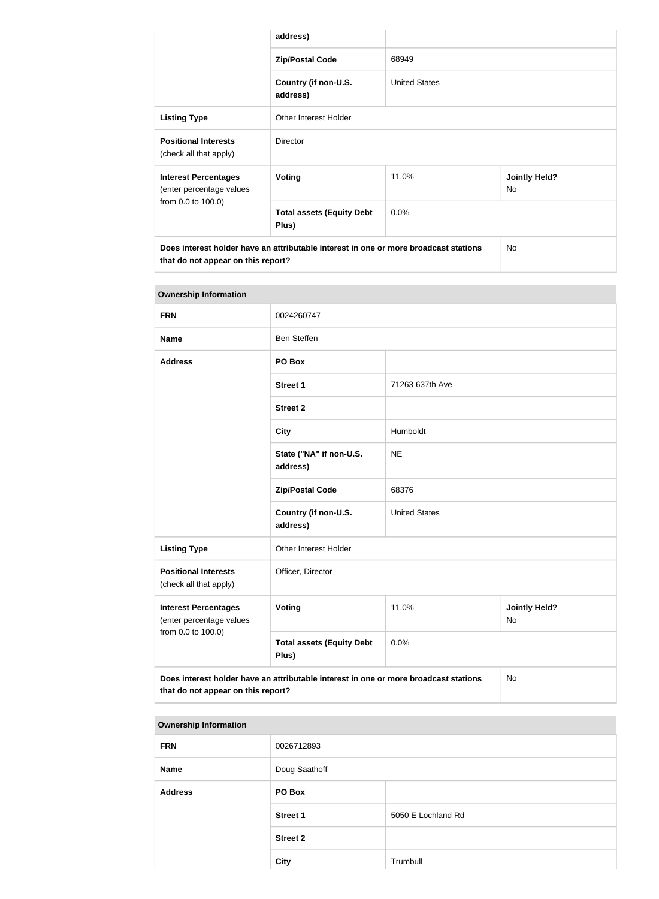|                                                                                                                            | address)                                  |                      |                            |
|----------------------------------------------------------------------------------------------------------------------------|-------------------------------------------|----------------------|----------------------------|
|                                                                                                                            | <b>Zip/Postal Code</b>                    | 68949                |                            |
|                                                                                                                            | Country (if non-U.S.<br>address)          | <b>United States</b> |                            |
| <b>Listing Type</b>                                                                                                        | Other Interest Holder                     |                      |                            |
| <b>Positional Interests</b><br>(check all that apply)                                                                      | <b>Director</b>                           |                      |                            |
| <b>Interest Percentages</b><br><b>Voting</b><br>(enter percentage values                                                   |                                           | 11.0%                | <b>Jointly Held?</b><br>No |
| from 0.0 to 100.0)                                                                                                         | <b>Total assets (Equity Debt</b><br>Plus) | 0.0%                 |                            |
| Does interest holder have an attributable interest in one or more broadcast stations<br>that do not appear on this report? |                                           |                      | No                         |

| <b>Ownership Information</b>                                                                                                     |                                           |                      |                                   |
|----------------------------------------------------------------------------------------------------------------------------------|-------------------------------------------|----------------------|-----------------------------------|
| <b>FRN</b>                                                                                                                       | 0024260747                                |                      |                                   |
| <b>Name</b>                                                                                                                      | <b>Ben Steffen</b>                        |                      |                                   |
| <b>Address</b>                                                                                                                   | PO Box                                    |                      |                                   |
|                                                                                                                                  | <b>Street 1</b>                           | 71263 637th Ave      |                                   |
|                                                                                                                                  | <b>Street 2</b>                           |                      |                                   |
|                                                                                                                                  | <b>City</b>                               | Humboldt             |                                   |
|                                                                                                                                  | State ("NA" if non-U.S.<br>address)       | <b>NE</b>            |                                   |
|                                                                                                                                  | <b>Zip/Postal Code</b>                    | 68376                |                                   |
|                                                                                                                                  | Country (if non-U.S.<br>address)          | <b>United States</b> |                                   |
| <b>Listing Type</b>                                                                                                              | Other Interest Holder                     |                      |                                   |
| <b>Positional Interests</b><br>(check all that apply)                                                                            | Officer, Director                         |                      |                                   |
| <b>Interest Percentages</b><br>(enter percentage values                                                                          | <b>Voting</b>                             | 11.0%                | <b>Jointly Held?</b><br><b>No</b> |
| from 0.0 to 100.0)                                                                                                               | <b>Total assets (Equity Debt</b><br>Plus) | 0.0%                 |                                   |
| Does interest holder have an attributable interest in one or more broadcast stations<br>No<br>that do not appear on this report? |                                           |                      |                                   |

| <b>Ownership Information</b> |                 |                    |
|------------------------------|-----------------|--------------------|
| <b>FRN</b>                   | 0026712893      |                    |
| <b>Name</b>                  | Doug Saathoff   |                    |
| <b>Address</b>               | PO Box          |                    |
|                              | <b>Street 1</b> | 5050 E Lochland Rd |
|                              | <b>Street 2</b> |                    |
|                              | <b>City</b>     | Trumbull           |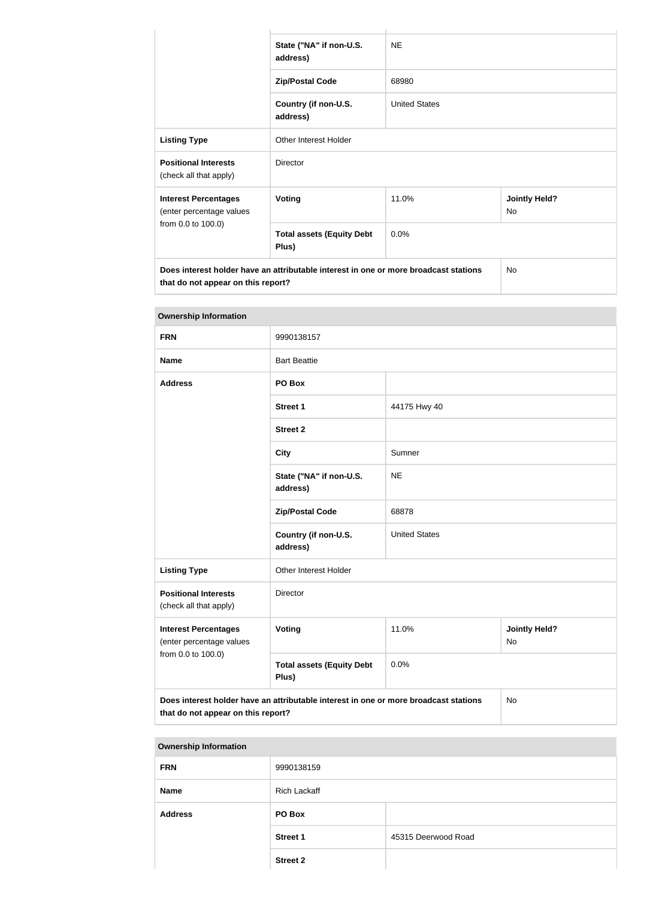|                                                                                                                            | State ("NA" if non-U.S.<br>address)       | <b>NE</b>            |                            |
|----------------------------------------------------------------------------------------------------------------------------|-------------------------------------------|----------------------|----------------------------|
|                                                                                                                            | <b>Zip/Postal Code</b>                    | 68980                |                            |
|                                                                                                                            | Country (if non-U.S.<br>address)          | <b>United States</b> |                            |
| <b>Listing Type</b>                                                                                                        | Other Interest Holder                     |                      |                            |
| <b>Positional Interests</b><br>(check all that apply)                                                                      | <b>Director</b>                           |                      |                            |
| <b>Interest Percentages</b><br>(enter percentage values                                                                    | <b>Voting</b>                             | 11.0%                | <b>Jointly Held?</b><br>No |
| from 0.0 to 100.0)                                                                                                         | <b>Total assets (Equity Debt</b><br>Plus) | 0.0%                 |                            |
| Does interest holder have an attributable interest in one or more broadcast stations<br>that do not appear on this report? |                                           |                      | N <sub>o</sub>             |

| <b>Ownership Information</b>                                                                                                            |                                           |                      |                            |  |
|-----------------------------------------------------------------------------------------------------------------------------------------|-------------------------------------------|----------------------|----------------------------|--|
| <b>FRN</b>                                                                                                                              | 9990138157                                |                      |                            |  |
| <b>Name</b>                                                                                                                             | <b>Bart Beattie</b>                       |                      |                            |  |
| <b>Address</b>                                                                                                                          | PO Box                                    |                      |                            |  |
|                                                                                                                                         | Street 1                                  | 44175 Hwy 40         |                            |  |
|                                                                                                                                         | <b>Street 2</b>                           |                      |                            |  |
|                                                                                                                                         | <b>City</b>                               | Sumner               |                            |  |
|                                                                                                                                         | State ("NA" if non-U.S.<br>address)       | <b>NE</b>            |                            |  |
|                                                                                                                                         | <b>Zip/Postal Code</b>                    | 68878                |                            |  |
|                                                                                                                                         | Country (if non-U.S.<br>address)          | <b>United States</b> |                            |  |
| <b>Listing Type</b>                                                                                                                     | Other Interest Holder                     |                      |                            |  |
| <b>Positional Interests</b><br>(check all that apply)                                                                                   | Director                                  |                      |                            |  |
| <b>Interest Percentages</b><br>(enter percentage values                                                                                 | <b>Voting</b>                             | 11.0%                | <b>Jointly Held?</b><br>No |  |
| from 0.0 to 100.0)                                                                                                                      | <b>Total assets (Equity Debt</b><br>Plus) | 0.0%                 |                            |  |
| Does interest holder have an attributable interest in one or more broadcast stations<br><b>No</b><br>that do not appear on this report? |                                           |                      |                            |  |

| <b>FRN</b><br>9990138159<br><b>Rich Lackaff</b><br><b>Name</b><br><b>Address</b><br>PO Box<br>45315 Deerwood Road<br><b>Street 1</b> | <b>Ownership Information</b> |                 |  |  |
|--------------------------------------------------------------------------------------------------------------------------------------|------------------------------|-----------------|--|--|
|                                                                                                                                      |                              |                 |  |  |
|                                                                                                                                      |                              |                 |  |  |
|                                                                                                                                      |                              |                 |  |  |
|                                                                                                                                      |                              |                 |  |  |
|                                                                                                                                      |                              | <b>Street 2</b> |  |  |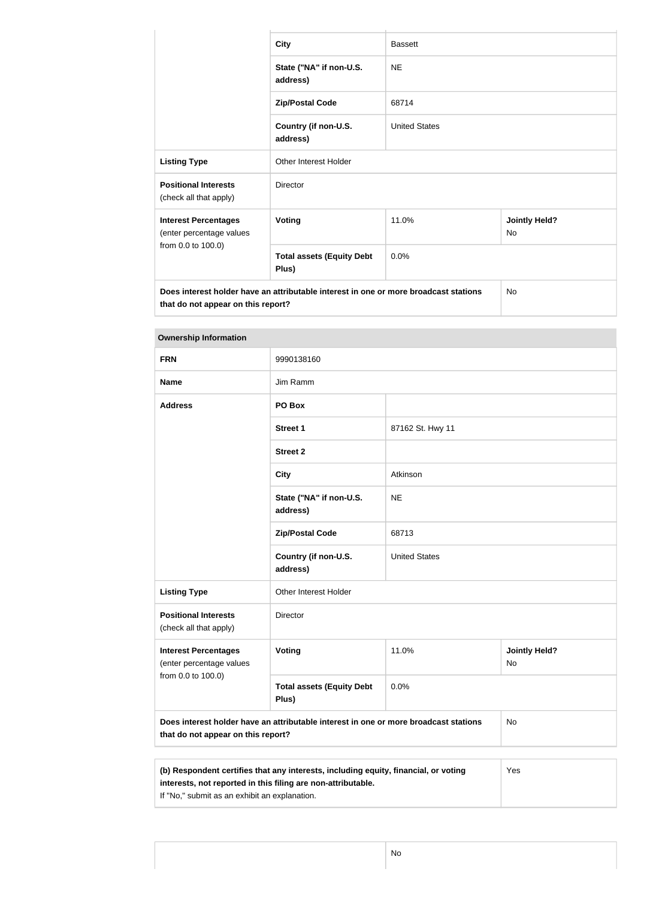|                                                         | <b>City</b>                               | <b>Bassett</b>       |                                   |
|---------------------------------------------------------|-------------------------------------------|----------------------|-----------------------------------|
|                                                         | State ("NA" if non-U.S.<br>address)       | <b>NE</b>            |                                   |
|                                                         | <b>Zip/Postal Code</b>                    | 68714                |                                   |
|                                                         | Country (if non-U.S.<br>address)          | <b>United States</b> |                                   |
| <b>Listing Type</b>                                     | <b>Other Interest Holder</b>              |                      |                                   |
| <b>Positional Interests</b><br>(check all that apply)   | <b>Director</b>                           |                      |                                   |
| <b>Interest Percentages</b><br>(enter percentage values | <b>Voting</b>                             | 11.0%                | <b>Jointly Held?</b><br><b>No</b> |
| from 0.0 to 100.0)                                      | <b>Total assets (Equity Debt</b><br>Plus) | 0.0%                 |                                   |

| 9990138160<br>Jim Ramm<br>PO Box          |                      |                                                                                      |
|-------------------------------------------|----------------------|--------------------------------------------------------------------------------------|
|                                           |                      |                                                                                      |
|                                           |                      |                                                                                      |
|                                           |                      |                                                                                      |
| <b>Street 1</b>                           | 87162 St. Hwy 11     |                                                                                      |
| <b>Street 2</b>                           |                      |                                                                                      |
| <b>City</b>                               | Atkinson             |                                                                                      |
| State ("NA" if non-U.S.<br>address)       | <b>NE</b>            |                                                                                      |
| <b>Zip/Postal Code</b>                    | 68713                |                                                                                      |
| Country (if non-U.S.<br>address)          | <b>United States</b> |                                                                                      |
| Other Interest Holder                     |                      |                                                                                      |
| Director                                  |                      |                                                                                      |
| <b>Voting</b>                             | 11.0%                | <b>Jointly Held?</b><br><b>No</b>                                                    |
| <b>Total assets (Equity Debt</b><br>Plus) | 0.0%                 |                                                                                      |
| that do not appear on this report?        |                      | No                                                                                   |
|                                           |                      | Does interest holder have an attributable interest in one or more broadcast stations |

| (b) Respondent certifies that any interests, including equity, financial, or voting | Yes |
|-------------------------------------------------------------------------------------|-----|
| interests, not reported in this filing are non-attributable.                        |     |
| If "No," submit as an exhibit an explanation.                                       |     |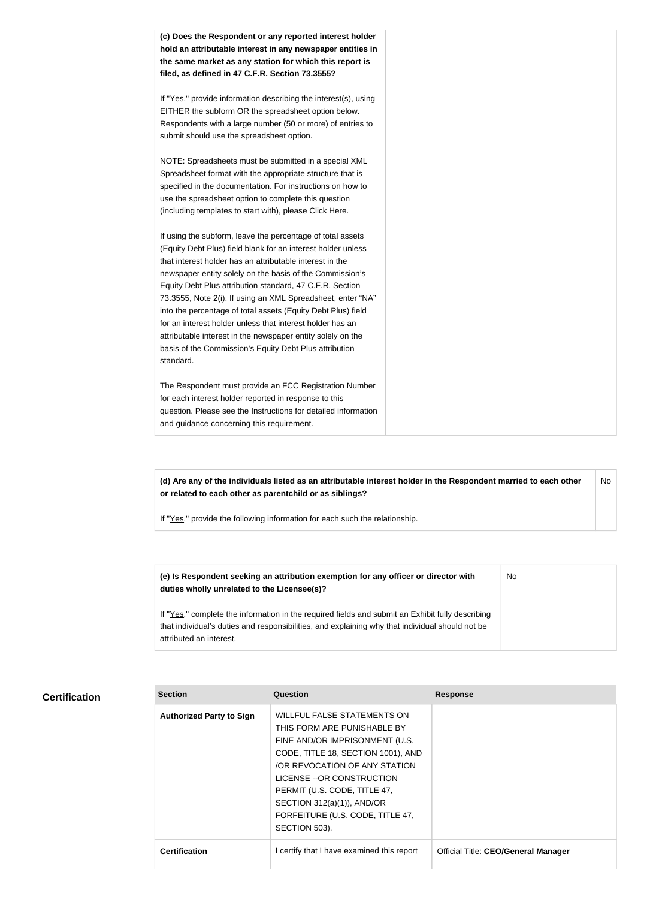**(c) Does the Respondent or any reported interest holder hold an attributable interest in any newspaper entities in the same market as any station for which this report is filed, as defined in 47 C.F.R. Section 73.3555?**

If "Yes," provide information describing the interest(s), using EITHER the subform OR the spreadsheet option below. Respondents with a large number (50 or more) of entries to submit should use the spreadsheet option.

NOTE: Spreadsheets must be submitted in a special XML Spreadsheet format with the appropriate structure that is specified in the documentation. For instructions on how to use the spreadsheet option to complete this question (including templates to start with), please Click Here.

If using the subform, leave the percentage of total assets (Equity Debt Plus) field blank for an interest holder unless that interest holder has an attributable interest in the newspaper entity solely on the basis of the Commission's Equity Debt Plus attribution standard, 47 C.F.R. Section 73.3555, Note 2(i). If using an XML Spreadsheet, enter "NA" into the percentage of total assets (Equity Debt Plus) field for an interest holder unless that interest holder has an attributable interest in the newspaper entity solely on the basis of the Commission's Equity Debt Plus attribution standard.

The Respondent must provide an FCC Registration Number for each interest holder reported in response to this question. Please see the Instructions for detailed information and guidance concerning this requirement.

**(d) Are any of the individuals listed as an attributable interest holder in the Respondent married to each other or related to each other as parentchild or as siblings?** No

If "Yes," provide the following information for each such the relationship.

**(e) Is Respondent seeking an attribution exemption for any officer or director with duties wholly unrelated to the Licensee(s)?** No

If "Yes," complete the information in the required fields and submit an Exhibit fully describing that individual's duties and responsibilities, and explaining why that individual should not be attributed an interest.

#### **Certification**

| <b>Section</b>                  | Question                                                                                                                                                                                                                                                                                                                   | <b>Response</b>                            |
|---------------------------------|----------------------------------------------------------------------------------------------------------------------------------------------------------------------------------------------------------------------------------------------------------------------------------------------------------------------------|--------------------------------------------|
| <b>Authorized Party to Sign</b> | <b>WILLFUL FALSE STATEMENTS ON</b><br>THIS FORM ARE PUNISHABLE BY<br>FINE AND/OR IMPRISONMENT (U.S.<br>CODE, TITLE 18, SECTION 1001), AND<br>OR REVOCATION OF ANY STATION<br>LICENSE -- OR CONSTRUCTION<br>PERMIT (U.S. CODE, TITLE 47,<br>SECTION 312(a)(1)), AND/OR<br>FORFEITURE (U.S. CODE, TITLE 47,<br>SECTION 503). |                                            |
| <b>Certification</b>            | certify that I have examined this report                                                                                                                                                                                                                                                                                   | <b>Official Title: CEO/General Manager</b> |